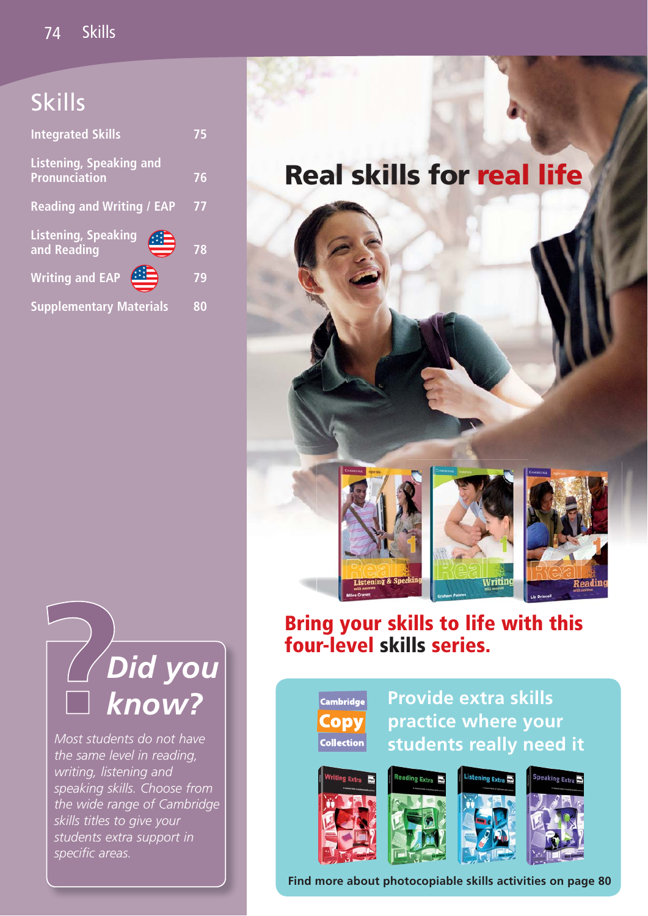## Skills

| <b>Integrated Skills</b>                               | 5  |
|--------------------------------------------------------|----|
| <b>Listening, Speaking and</b><br><b>Pronunciation</b> | 76 |
| <b>Reading and Writing / EAP</b>                       | 77 |
| Listening, Speaking<br>and Reading                     | 78 |
|                                                        |    |
| <b>Writing and EAP</b>                                 | 79 |

# **Real skills for real life**



# **Bring your skills to life with this four-level skills series.**

**Cambridge** Copv **Collection** 

**Provide extra skills practice where your students really need it**



**Find more about photocopiable skills activities on page 80**



*Most students do not have the same level in reading, writing, listening and speaking skills. Choose from the wide range of Cambridge skills titles to give your students extra support in*  specific areas.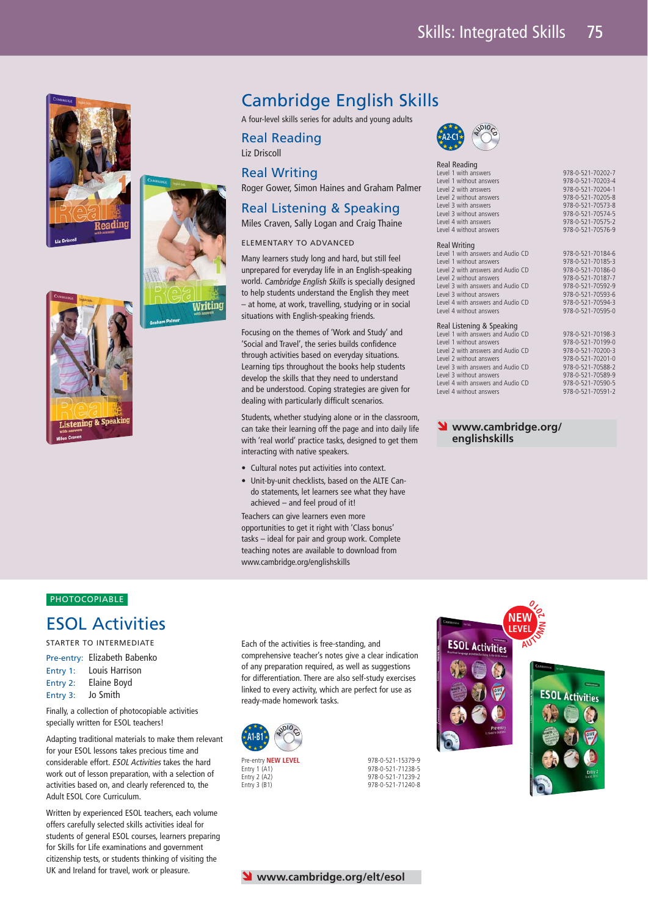



## Cambridge English Skills

A four-level skills series for adults and young adults

Real Reading Liz Driscoll

Real Writing

Roger Gower, Simon Haines and Graham Palmer

## Real Listening & Speaking

Miles Craven, Sally Logan and Craig Thaine

## ELEMENTARY TO ADVANCED

Many learners study long and hard, but still feel unprepared for everyday life in an English-speaking world. Cambridge English Skills is specially designed to help students understand the English they meet – at home, at work, travelling, studying or in social situations with English-speaking friends.

Focusing on the themes of 'Work and Study' and 'Social and Travel', the series builds confidence through activities based on everyday situations. Learning tips throughout the books help students develop the skills that they need to understand and be understood. Coping strategies are given for dealing with particularly difficult scenarios.

Students, whether studying alone or in the classroom, can take their learning off the page and into daily life with 'real world' practice tasks, designed to get them interacting with native speakers.

- Cultural notes put activities into context.
- Unit-by-unit checklists, based on the ALTE Cando statements, let learners see what they have achieved – and feel proud of it!

Teachers can give learners even more opportunities to get it right with 'Class bonus' tasks – ideal for pair and group work. Complete teaching notes are available to download from www.cambridge.org/englishskills



Rea<br>Lev

| Real Reading                      |                   |
|-----------------------------------|-------------------|
| Level 1 with answers              | 978-0-521-70202-7 |
| Level 1 without answers           | 978-0-521-70203-4 |
| Level 2 with answers              | 978-0-521-70204-1 |
| Level 2 without answers           | 978-0-521-70205-8 |
| Level 3 with answers              | 978-0-521-70573-8 |
| Level 3 without answers           | 978-0-521-70574-5 |
| Level 4 with answers              | 978-0-521-70575-2 |
| Level 4 without answers           | 978-0-521-70576-9 |
| <b>Real Writing</b>               |                   |
| Level 1 with answers and Audio CD | 978-0-521-70184-6 |
| Level 1 without answers           | 978-0-521-70185-3 |
| Level 2 with answers and Audio CD | 978-0-521-70186-0 |
| Level 2 without answers           | 978-0-521-70187-7 |
| Level 3 with answers and Audio CD | 978-0-521-70592-9 |
| Level 3 without answers           | 978-0-521-70593-6 |
| Level 4 with answers and Audio CD | 978-0-521-70594-3 |
| Level 4 without answers           | 978-0-521-70595-0 |
| Real Listening & Speaking         |                   |
| Level 1 with answers and Audio CD | 978-0-521-70198-3 |
| Level 1 without answers           | 978-0-521-70199-0 |
| Level 2 with answers and Audio CD | 978-0-521-70200-3 |
| Level 2 without answers           | 978-0-521-70201-0 |
| Level 3 with answers and Audio CD | 978-0-521-70588-2 |
| Level 3 without answers           | 978-0-521-70589-9 |
| Level 4 with answers and Audio CD | 978-0-521-70590-5 |
| Level 4 without answers           | 978-0-521-70591-2 |

## **V** www.cambridge.org/ **englishskills**

## **PHOTOCOPIABLE**

stening & Speakin

## ESOL Activities

STARTER TO INTERMEDIATE

Pre-entry: Elizabeth Babenko Entry 1: Louis Harrison Entry 2: Elaine Boyd Entry 3: Jo Smith

Finally, a collection of photocopiable activities specially written for ESOL teachers!

Adapting traditional materials to make them relevant for your ESOL lessons takes precious time and considerable effort. ESOL Activities takes the hard work out of lesson preparation, with a selection of activities based on, and clearly referenced to, the Adult ESOL Core Curriculum.

Written by experienced ESOL teachers, each volume offers carefully selected skills activities ideal for students of general ESOL courses, learners preparing for Skills for Life examinations and government citizenship tests, or students thinking of visiting the UK and Ireland for travel, work or pleasure.

Each of the activities is free-standing, and comprehensive teacher's notes give a clear indication of any preparation required, as well as suggestions for differentiation. There are also self-study exercises linked to every activity, which are perfect for use as ready-made homework tasks.





978-0-521-71239-2

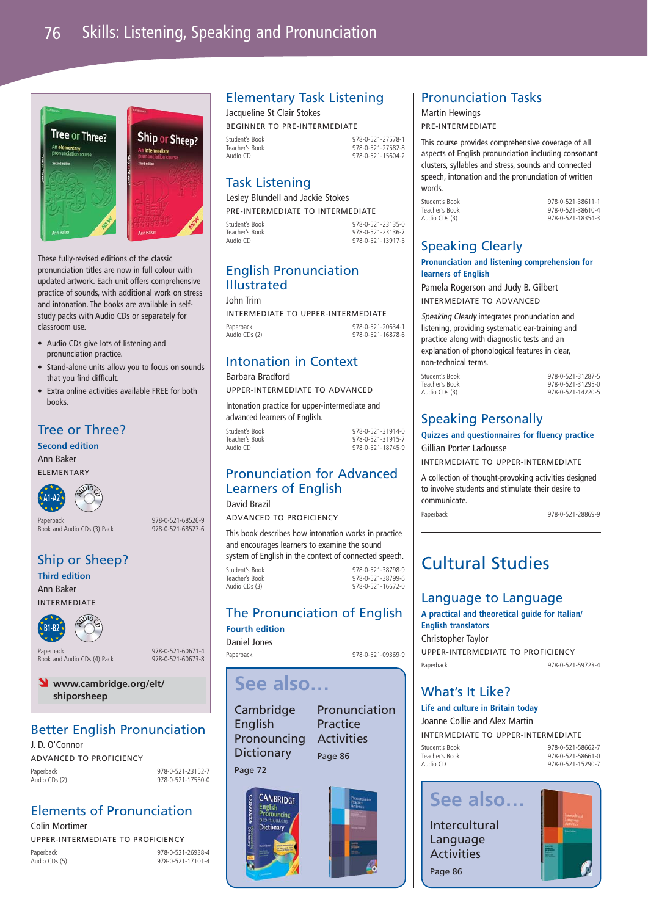

These fully-revised editions of the classic pronunciation titles are now in full colour with updated artwork. Each unit offers comprehensive practice of sounds, with additional work on stress and intonation. The books are available in selfstudy packs with Audio CDs or separately for classroom use.

- Audio CDs give lots of listening and pronunciation practice.
- Stand-alone units allow you to focus on sounds that you find difficult.
- Extra online activities available FREE for both books.

## Tree or Three?

**Second edition**

Ann Baker ELEMENTARY



Paperback 978-0-521-68526-9 Paperback<br>Book and Audio CDs (3) Pack

## Ship or Sheep?

**Third edition** Ann Baker

INTERMEDIATE



Paperback 978-0-521-60671-4<br>Rook and Audio CDs (4) Pack 978-0-521-60673-8 Book and Audio CDs (4) Pack



## Better English Pronunciation

J. D. O'Connor ADVANCED TO PROFICIENCY Paperback 978-0-521-23152-7<br>Audio CDs (2) 978-0-521-17550-0

Audio CDs (2) 978-0-521-17550-0

## Elements of Pronunciation

Colin Mortimer UPPER-INTERMEDIATE TO PROFICIENCY Paperback 978-0-521-26938-4<br>Audio CDs (5) 978-0-521-17101-4 978-0-521-17101-4

## Elementary Task Listening

Jacqueline St Clair Stokes BEGINNER TO PRE-INTERMEDIATE Student's Book 978-0-521-27578-1

Teacher's Book 978-0-521-27582-8 978-0-521-15604-2

## Task Listening

Lesley Blundell and Jackie Stokes PRE-INTERMEDIATE TO INTERMEDIATE

Student's Book 978-0-521-23135-0 Teacher's Book 978-0-521-23136-7 978-0-521-13917-5

## English Pronunciation Illustrated

John Trim

INTERMEDIATE TO UPPER-INTERMEDIATE Paperback 978-0-521-20634-1<br>Audio CDs (2) 978-0-521-16878-6 978-0-521-16878-6

## Intonation in Context

Barbara Bradford UPPER-INTERMEDIATE TO ADVANCED

Intonation practice for upper-intermediate and advanced learners of English.

Student's Book 978-0-521-31914-0 Teacher's Book 978-0-521-31915-7<br>Audio CD 978-0-521-18745-9 978-0-521-18745-9

## Pronunciation for Advanced Learners of English

David Brazil ADVANCED TO PROFICIENCY

This book describes how intonation works in practice and encourages learners to examine the sound system of English in the context of connected speech.

Student's Book 978-0-521-38798-9 Teacher's Book 978-0-521-38799-6 Audio CDs (3) 978-0-521-16672-0

## The Pronunciation of English

**Fourth edition** Daniel Jones

Paperback 978-0-521-09369-9

## **See also…**

**Cambridge** English **Dictionary** 

Page 86

Page 72

į



## Pronunciation Tasks

Martin Hewings

PRE-INTERMEDIATE

This course provides comprehensive coverage of all aspects of English pronunciation including consonant clusters, syllables and stress, sounds and connected speech, intonation and the pronunciation of written words.

| Student's Book | 978-0-521-38611-1 |
|----------------|-------------------|
| Teacher's Book | 978-0-521-38610-4 |
| Audio CDs (3)  | 978-0-521-18354-3 |
|                |                   |

## Speaking Clearly

**Pronunciation and listening comprehension for learners of English**

Pamela Rogerson and Judy B. Gilbert INTERMEDIATE TO ADVANCED

Speaking Clearly integrates pronunciation and listening, providing systematic ear-training and practice along with diagnostic tests and an explanation of phonological features in clear, non-technical terms.

Student's Book 978-0-521-31287-5 Audio CDs (3) 978-0-521-14220-5

Teacher's Book 978-0-521-31295-0

## Speaking Personally

**Quizzes and questionnaires for fluency practice** 

Gillian Porter Ladousse

INTERMEDIATE TO UPPER-INTERMEDIATE

A collection of thought-provoking activities designed to involve students and stimulate their desire to communicate.

Paperback 978-0-521-28869-9

## Cultural Studies

## Language to Language

**A practical and theoretical guide for Italian/ English translators** Christopher Taylor UPPER-INTERMEDIATE TO PROFICIENCY

Paperback 978-0-521-59723-4

## What's It Like?

Student's Br Teacher's Bo Audio CD

**Life and culture in Britain today** Joanne Collie and Alex Martin INTERMEDIATE TO UPPER-INTERMEDIATE

| ok | 978-0-521-58662-7 |
|----|-------------------|
| ok | 978-0-521-58661-0 |
|    | 978-0-521-15290-7 |
|    |                   |

## **See also…**

Intercultural Language Activities Page 86





Pronouncing

Pronunciation Practice **Activities**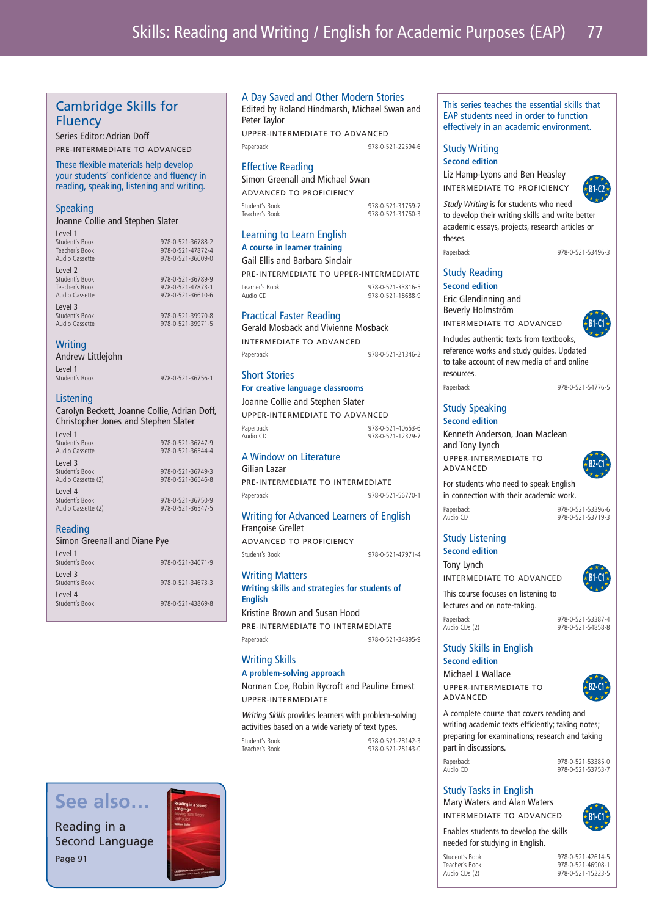## Cambridge Skills for Fluency

Series Editor: Adrian Doff PRE-INTERMEDIATE TO ADVANCED

These flexible materials help develop your students' confidence and fluency in reading, speaking, listening and writing.

## **Speaking**

Joanne Collie and Stephen Slater

| Level 1        |                   |
|----------------|-------------------|
| Student's Book | 978-0-521-36788-2 |
| Teacher's Book | 978-0-521-47872-4 |
| Audio Cassette | 978-0-521-36609-0 |
| Level 2        |                   |
| Student's Book | 978-0-521-36789-9 |
| Teacher's Book | 978-0-521-47873-1 |
| Audio Cassette | 978-0-521-36610-6 |
| Level 3        |                   |
| Student's Book | 978-0-521-39970-8 |
| Audio Cassette | 978-0-521-39971-5 |
|                |                   |
|                |                   |

## **Writing**

Level 1 Student's Boo

Andrew Littlejohn

| 978-0-521-36756-1 |
|-------------------|

## Listening

Carolyn Beckett, Joanne Collie, Adrian Doff, Christopher Jones and Stephen Slater Level 1

| Student's Book<br>Audio Cassette                | 978-0-521-36747-9<br>978-0-521-36544-4 |
|-------------------------------------------------|----------------------------------------|
| Level 3<br>Student's Book<br>Audio Cassette (2) | 978-0-521-36749-3<br>978-0-521-36546-8 |
| Level 4<br>Student's Book<br>Audio Cassette (2) | 978-0-521-36750-9<br>978-0-521-36547-5 |

## Reading

Reading in a

Page 91

| Simon Greenall and Diane Pye |  |  |
|------------------------------|--|--|
|                              |  |  |

| l evel 1<br>Student's Book | 978-0-521-34671-9 |
|----------------------------|-------------------|
| level 3<br>Student's Book  | 978-0-521-34673-3 |
| l evel 4<br>Student's Book | 978-0-521-43869-8 |

## A Day Saved and Other Modern Stories

Edited by Roland Hindmarsh, Michael Swan and Peter Taylor UPPER-INTERMEDIATE TO ADVANCED

Paperback 978-0-521-22594-6

## Effective Reading

Simon Greenall and Michael Swan ADVANCED TO PROFICIENCY

Student's Book 978-0-521-31759-7

Teacher's Book 978-0-521-31760-3

## Learning to Learn English **A course in learner training**

Gail Ellis and Barbara Sinclair

PRE-INTERMEDIATE TO UPPER-INTERMEDIATE Learner's Book 978-0-521-33816-5 Q78-0-521-18688-0

## Practical Faster Reading

Gerald Mosback and Vivienne Mosback INTERMEDIATE TO ADVANCED Paperback 978-0-521-21346-2

## Short Stories

## **For creative language classrooms** Joanne Collie and Stephen Slater

UPPER-INTERMEDIATE TO ADVANCED Paperback 978-0-521-40653-6<br>Audio CD 978-0-521-12329-7 978-0-521-12329-7

#### A Window on Literature Gilian Lazar

PRE-INTERMEDIATE TO INTERMEDIATE Paperback 978-0-521-56770-1

## Writing for Advanced Learners of English Françoise Grellet

ADVANCED TO PROFICIENCY Student's Book 978-0-521-47971-4

## Writing Matters

**Writing skills and strategies for students of English**

Kristine Brown and Susan Hood PRE-INTERMEDIATE TO INTERMEDIATE Paperback 978-0-521-34895-9

## Writing Skills

## **A problem-solving approach**

Norman Coe, Robin Rycroft and Pauline Ernest UPPER-INTERMEDIATE

Writing Skills provides learners with problem-solving activities based on a wide variety of text types.

Student's Book 978-0-521-28142-3 Teacher's Book 978-0-521-28143-0

#### This series teaches the essential skills that EAP students need in order to function effectively in an academic environment.

## Study Writing

**Second edition**

Liz Hamp-Lyons and Ben Heasley INTERMEDIATE TO PROFICIENCY



Study Writing is for students who need to develop their writing skills and write better academic essays, projects, research articles or theses.

Paperback 978-0-521-53496-3

**B1-C1**

## Study Reading **Second edition**

Eric Glendinning and Beverly Holmström

INTERMEDIATE TO ADVANCED

Includes authentic texts from textbooks, reference works and study guides. Updated to take account of new media of and online resources. Paperback 978-0-521-54776-5

Study Speaking **Second edition**

Kenneth Anderson, Joan Maclean and Tony Lynch UPPER-INTERMEDIATE TO



For students who need to speak English in connection with their academic work.

ADVANCED

Paperback 978-0-521-53396-6<br>Audio CD 978-0-521-53719-3 978-0-521-53719-3

## Study Listening

**Second edition**

INTERMEDIATE TO ADVANCED

This course focuses on listening to lectures and on note-taking.

#### Paperback 978-0-521-53387-4 978-0-521-54858-8

Study Skills in English **Second edition**



A complete course that covers reading and writing academic texts efficiently; taking notes; preparing for examinations; research and taking part in discussions.

Paperback 978-0-521-53385-0 978-0-521-53753-7

## Study Tasks in English

Mary Waters and Alan Waters INTERMEDIATE TO ADVANCED

**B1-C1**

Enables students to develop the skills needed for studying in English. Student's Book 978-0-521-42614-5

Teacher's Book 978-0-521-46908-1 978-0-521-15223-5



**B1-C1**



Tony Lynch

Michael J. Wallace UPPER-INTERMEDIATE TO ADVANCED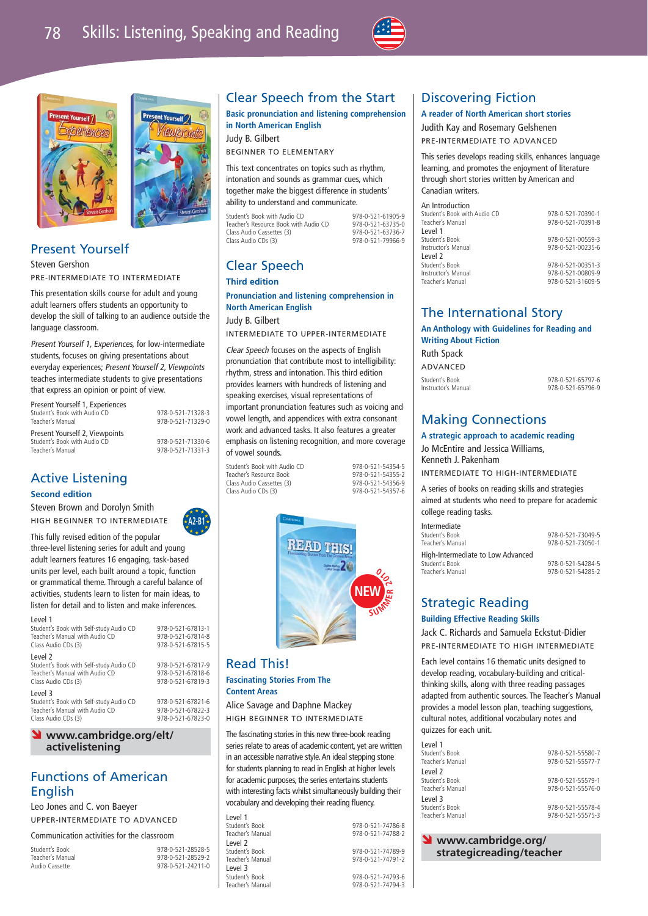$19h$ *D<sub>al</sub>* 





## Present Yourself

Steven Gershon PRE-INTERMEDIATE TO INTERMEDIATE

This presentation skills course for adult and young adult learners offers students an opportunity to develop the skill of talking to an audience outside the language classroom.

Present Yourself 1, Experiences, for low-intermediate students, focuses on giving presentations about everyday experiences; Present Yourself 2, Viewpoints teaches intermediate students to give presentations that express an opinion or point of view.

Present Yourself 1, Experiences المساحة المساحة المساحة المساحة المساحة المساحة المساحة المساحة المساحة المساحة المساحة المساحة المساحة المساح<br>1978-0-521-71329-0<br>1978-0-521-71329-0 Present Yourself 2, Viewpoints Student's Book with Audio CD 978-0-521-71330-6 Teacher's Manual 978-0-521-71331-3

Teacher's Manual 978-0-521-71329-0

## Active Listening

## **Second edition**

Steven Brown and Dorolyn Smith HIGH BEGINNER TO INTERMEDIATE



This fully revised edition of the popular three-level listening series for adult and young adult learners features 16 engaging, task-based units per level, each built around a topic, function or grammatical theme. Through a careful balance of activities, students learn to listen for main ideas, to listen for detail and to listen and make inferences.

| Level 1<br>Student's Book with Self-study Audio CD<br>Teacher's Manual with Audio CD<br>Class Audio CDs (3) | 978-0-521-67813-1<br>978-0-521-67814-8<br>978-0-521-67815-5 |  |
|-------------------------------------------------------------------------------------------------------------|-------------------------------------------------------------|--|
| Level 2<br>Student's Book with Self-study Audio CD<br>Teacher's Manual with Audio CD<br>Class Audio CDs (3) | 978-0-521-67817-9<br>978-0-521-67818-6<br>978-0-521-67819-3 |  |
| Level 3<br>Student's Book with Self-study Audio CD<br>Teacher's Manual with Audio CD<br>Class Audio CDs (3) | 978-0-521-67821-6<br>978-0-521-67822-3<br>978-0-521-67823-0 |  |

## Ó **www.cambridge.org/elt/ activelistening**

## Functions of American English

Leo Jones and C. von Baeyer UPPER-INTERMEDIATE TO ADVANCED

Communication activities for the classroom

Student's Book<br>
Teacher's Manual<br>
978-0-521-28529-2 Teacher's Manual 978-0-521-28529-2 978-0-521-24211-0

## Clear Speech from the Start

**Basic pronunciation and listening comprehension in North American English** Judy B. Gilbert

BEGINNER TO ELEMENTARY

This text concentrates on topics such as rhythm, intonation and sounds as grammar cues, which together make the biggest difference in students' ability to understand and communicate.

Student's Book with Audio CD<br>Teacher's Resource Book with Audio CD 978-0-521-63735-0 Teacher's Resource Book with Audio CD 978-0-521-63735-0<br>Class Audio Cassettes (3) 978-0-521-63736-7 Class Audio Cassettes (3)<br>Class Audio CDs (3)

978-0-521-79966-9

## Clear Speech

**Third edition**

**Pronunciation and listening comprehension in North American English** Judy B. Gilbert

INTERMEDIATE TO UPPER-INTERMEDIATE

Clear Speech focuses on the aspects of English pronunciation that contribute most to intelligibility: rhythm, stress and intonation. This third edition provides learners with hundreds of listening and speaking exercises, visual representations of important pronunciation features such as voicing and vowel length, and appendices with extra consonant work and advanced tasks. It also features a greater emphasis on listening recognition, and more coverage

Student's Book with Audio CD<br>
Teacher's Besource Book<br>
978-0-521-54355-2 Teacher's Resource Book 978-0-521-54355-2 Class Audio Cassettes (3)  $\frac{978-0.521-54356-9}{978-0.521-54357-6}$ Class Audio CDs (3)



## Read This!

## **Fascinating Stories From The Content Areas**

Alice Savage and Daphne Mackey HIGH BEGINNER TO INTERMEDIATE

The fascinating stories in this new three-book reading series relate to areas of academic content, yet are written in an accessible narrative style. An ideal stepping stone for students planning to read in English at higher levels for academic purposes, the series entertains students with interesting facts whilst simultaneously building their vocabulary and developing their reading fluency.

Level 1<br>Student's Book Level 2<br>Student's Book Level 3<br>Student's Book Teacher's Manual

Student's Book 978-0-521-74786-8 978-0-521-74788-2 978-0-521-74789-9 Teacher's Manual 978-0-521-74791-2 978-0-521-74793-6<br>978-0-521-74794-3

## Discovering Fiction

## **A reader of North American short stories**

Judith Kay and Rosemary Gelshenen PRE-INTERMEDIATE TO ADVANCED

This series develops reading skills, enhances language learning, and promotes the enjoyment of literature through short stories written by American and Canadian writers.

#### An Introduction

| Student's Book with Audio CD | 978-0-521-70390-1 |
|------------------------------|-------------------|
| Teacher's Manual             | 978-0-521-70391-8 |
| Level 1                      |                   |
| Student's Book               | 978-0-521-00559-3 |
| Instructor's Manual          | 978-0-521-00235-6 |
| Level 2                      |                   |
| Student's Book               | 978-0-521-00351-3 |
| Instructor's Manual          | 978-0-521-00809-9 |
| Teacher's Manual             | 978-0-521-31609-5 |

## The International Story

**An Anthology with Guidelines for Reading and Writing About Fiction**

Ruth Spack ADVANCED

Student's Book<br>
Instructor's Manual 1978-0-521-65796-9<br>
978-0-521-65796-9 Instructor's Manual 978-0-521-65796-9

## Making Connections

**A strategic approach to academic reading** Jo McEntire and Jessica Williams, Kenneth J. Pakenham

INTERMEDIATE TO HIGH-INTERMEDIATE

A series of books on reading skills and strategies aimed at students who need to prepare for academic college reading tasks.

| Intermediate                      |                   |
|-----------------------------------|-------------------|
| Student's Book                    | 978-0-521-73049-5 |
| Teacher's Manual                  | 978-0-521-73050-1 |
| High-Intermediate to Low Advanced |                   |
| Student's Book                    | 978-0-521-54284-5 |
| Teacher's Manual                  | 978-0-521-54285-2 |

## Strategic Reading

## **Building Effective Reading Skills**

Jack C. Richards and Samuela Eckstut-Didier PRE-INTERMEDIATE TO HIGH INTERMEDIATE

Each level contains 16 thematic units designed to develop reading, vocabulary-building and criticalthinking skills, along with three reading passages adapted from authentic sources. The Teacher's Manual provides a model lesson plan, teaching suggestions, cultural notes, additional vocabulary notes and quizzes for each unit.

| Level 1            |                   |
|--------------------|-------------------|
| Student's Book     | 978-0-521-55580-7 |
| Teacher's Manual   | 978-0-521-55577-7 |
| l evel 2           |                   |
| Student's Book     | 978-0-521-55579-1 |
| Teacher's Manual   | 978-0-521-55576-0 |
| level <sub>3</sub> |                   |
| Student's Book     | 978-0-521-55578-4 |
| Teacher's Manual   | 978-0-521-55575-3 |
|                    |                   |

**V** www.cambridge.org/ **strategicreading/teacher**

of vowel sounds.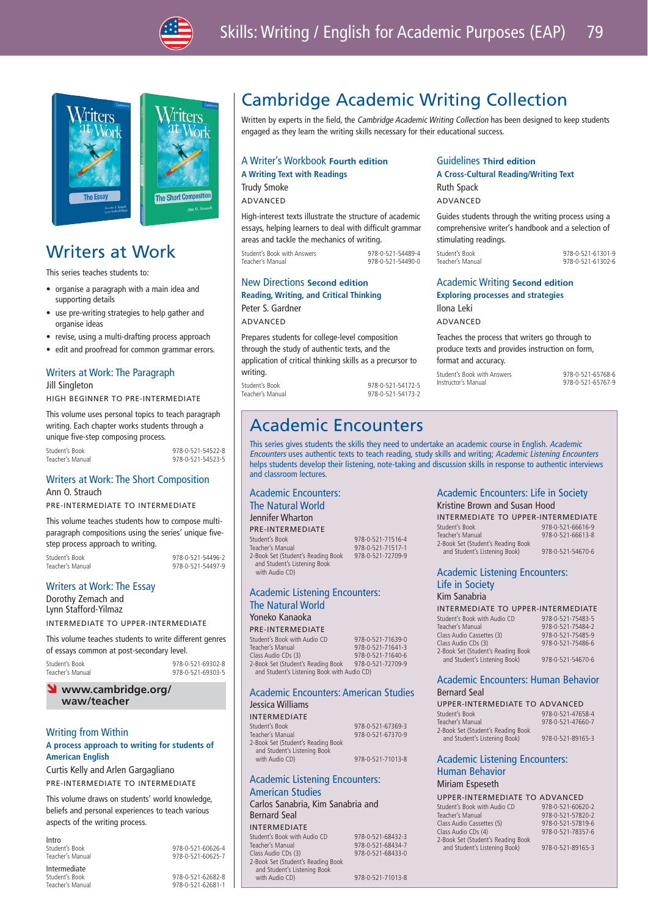

\*Iter



# **A** Short Come

## Writers at Work

This series teaches students to:

- organise a paragraph with a main idea and supporting details
- use pre-writing strategies to help gather and organise ideas
- revise, using a multi-drafting process approach
- edit and proofread for common grammar errors.

#### Writers at Work: The Paragraph Jill Singleton

HIGH BEGINNER TO PRE-INTERMEDIATE

This volume uses personal topics to teach paragraph writing. Each chapter works students through a unique five-step composing process.

| Student's Book   |  |
|------------------|--|
| Teacher's Manual |  |

 $078 - 0.521 - 54522 - 8$ Teacher's Manual 978-0-521-54523-5

## Writers at Work: The Short Composition Ann O. Strauch

PRE-INTERMEDIATE TO INTERMEDIATE

This volume teaches students how to compose multiparagraph compositions using the series' unique fivestep process approach to writing.

Student's Book 978-0-521-54496-2

Teacher's Manual 978-0-521-54497-9

## Writers at Work: The Essay

Dorothy Zemach and Lynn Stafford-Yilmaz INTERMEDIATE TO UPPER-INTERMEDIATE

This volume teaches students to write different genres of essays common at post-secondary level.

Student's Book 978-0-521-69302-8 978-0-521-69303-5

#### www.cambridge.org/ **waw/teacher**

## Writing from Within

## **A process approach to writing for students of American English**

Curtis Kelly and Arlen Gargagliano PRE-INTERMEDIATE TO INTERMEDIATE

This volume draws on students' world knowledge, beliefs and personal experiences to teach various aspects of the writing process.

Intro<br>Student's Book

**Intermediate**<br>Student's Book

 $978-0.521-60626-4$ Teacher's Manual 978-0-521-60625-7

Student's Book 978-0-521-62682-8 Teacher's Manual 978-0-521-62681-1

## Cambridge Academic Writing Collection

Written by experts in the field, the Cambridge Academic Writing Collection has been designed to keep students engaged as they learn the writing skills necessary for their educational success.

Guidelines **Third edition**

Ruth Spack ADVANCED

Ilona Leki ADVANCED

stimulating readings.

format and accuracy.

**A Cross-Cultural Reading/Writing Text**

Academic Writing **Second edition Exploring processes and strategies**

Teaches the process that writers go through to produce texts and provides instruction on form,

Student's Book with Answers 978-0-521-65768-6<br>
Instructor's Manual<br>
978-0-521-65767-9

Guides students through the writing process using a comprehensive writer's handbook and a selection of

Student's Book 978-0-521-61301-9

978-0-521-61302-6

978-0-521-65767-9

## A Writer's Workbook **Fourth edition**

**A Writing Text with Readings**

Trudy Smoke ADVANCED

High-interest texts illustrate the structure of academic essays, helping learners to deal with difficult grammar areas and tackle the mechanics of writing.

| Student's Book with Answers | 978-0-521-54489-4 |
|-----------------------------|-------------------|
| Teacher's Manual            | 978-0-521-54490-0 |
|                             |                   |

## New Directions **Second edition Reading, Writing, and Critical Thinking**

Peter S. Gardner ADVANCED

Prepares students for college-level composition through the study of authentic texts, and the application of critical thinking skills as a precursor to writing. Student's Book 1978-0-521-54172-5<br>1978-0-521-54173-2 Teacher's Manual 978-0-521-54173-2

## Academic Encounters

This series gives students the skills they need to undertake an academic course in English. Academic Encounters uses authentic texts to teach reading, study skills and writing; Academic Listening Encounters helps students develop their listening, note-taking and discussion skills in response to authentic interviews and classroom lectures.

#### Academic Encounters: The Natural World

Jennifer Wharton

PRE-INTERMEDIATE Student's Book 978-0-521-71516-4 Teacher's Manual 978-0-521-71517-1 and Student's Listening Book with Audio CD)

## Academic Listening Encounters: The Natural World Yoneko Kanaoka

## PRE-INTERMEDIATE

Student's Book with Audio CD 978-0-521-71639-0 Class Audio CDs (3) 2-Book Set (Student's Reading Book 978-0-521-72709-9 and Student's Listening Book with Audio CD)

#### Academic Encounters: American Studies Jessica Williams

INTERMEDIATE

| Student's Book                     | 978-0-521-67369-3 |
|------------------------------------|-------------------|
| Teacher's Manual                   | 978-0-521-67370-9 |
| 2-Book Set (Student's Reading Book |                   |
| and Student's Listening Book       |                   |
| with Audio CD)                     | 978-0-521-71013-8 |
|                                    |                   |

## Academic Listening Encounters: American Studies

Carlos Sanabria, Kim Sanabria and Bernard Seal

INTERMEDIATE Student's Book with Audio CD 978-0-521-68432-3<br>Teacher's Manual 978-0-521-68434-7 Teacher's Manual 978-0-521-68434-7 978-0-521-68433-0 2-Book Set (Student's Reading Book and Student's Listening Book<br>with Audio CD) 978-0-521-71013-8 Academic Encounters: Life in Society Kristine Brown and Susan Hood

| <u>INIJERIC DIOWIL GRIM JUJULI LIOOG</u> |                   |
|------------------------------------------|-------------------|
| INTERMEDIATE TO UPPER-INTERMEDIATE       |                   |
| Student's Book                           | 978-0-521-66616-9 |
| Teacher's Manual                         | 978-0-521-66613-8 |
| 2-Book Set (Student's Reading Book       |                   |

## Academic Listening Encounters: Life in Society

| INTERMEDIATE TO UPPER-INTERMEDIATE |                   |
|------------------------------------|-------------------|
| Student's Book with Audio CD       | 978-0-521-75483-5 |
| Teacher's Manual                   | 978-0-521-75484-2 |
| Class Audio Cassettes (3)          | 978-0-521-75485-9 |
| Class Audio CDs (3)                | 978-0-521-75486-6 |
| 2-Book Set (Student's Reading Book |                   |
| and Student's Listening Book)      | 978-0-521-54670-6 |
|                                    |                   |

## Academic Encounters: Human Behavior

| Bernard Seal                       |                   |
|------------------------------------|-------------------|
| UPPER-INTERMEDIATE TO ADVANCED     |                   |
| Student's Book                     | 978-0-521-47658-4 |
| Teacher's Manual                   | 978-0-521-47660-7 |
| 2-Book Set (Student's Reading Book |                   |
| and Student's Listening Book)      | 978-0-521-89165-3 |
|                                    |                   |

## hing Encounters:

#### Human Behavior Miriam Espeseth

| UPPER-INTERMEDIATE TO ADVANCED |  |
|--------------------------------|--|
|                                |  |

| Student's Book with Audio CD       | 978-0-521-60620-2 |
|------------------------------------|-------------------|
| Teacher's Manual                   | 978-0-521-57820-2 |
| Class Audio Cassettes (5)          | 978-0-521-57819-6 |
| Class Audio CDs (4)                | 978-0-521-78357-6 |
| 2-Book Set (Student's Reading Book |                   |
| and Student's Listening Book)      | 978-0-521-89165-3 |

2-Book Set (Student's Reading Book

# 978-0-521-71641-3<br>978-0-521-71640-6

Kii

2-Book Set (Student's Reading Book and Student's Listening Book) 978-0-521-54670-6

| m sanabria.                      |                   |
|----------------------------------|-------------------|
| TERMEDIATE TO UPPER-INTERMEDIATI |                   |
| ident's Book with Audio CD       | 978-0-521-75483-5 |
| acher's Manual                   | 978-0-521-75484-2 |
| ss Audio Cassettes (3)           | 978-0-521-75485-9 |
| ISS Audio CDs (3)                | 978-0-521-75486-6 |
| Book Set (Student's Reading Book |                   |

| ernard Seal                          |                   |
|--------------------------------------|-------------------|
| <b>PPER-INTERMEDIATE TO ADVANCED</b> |                   |
| udent's Book                         | 978-0-521-47658-4 |
| eacher's Manual                      | 978-0-521-47660-  |
| Book Set (Student's Reading Book     |                   |

## Bernard Seal

| Student's Book                     | $978 - 0 - 52$ |
|------------------------------------|----------------|
| Teacher's Manual                   | $978 - 0 - 52$ |
| 2-Book Set (Student's Reading Book |                |
| and Student's Listening Book)      | 978-0-52       |

| and students eistenmu book) |  |  |
|-----------------------------|--|--|
| Academic Listening Encou    |  |  |